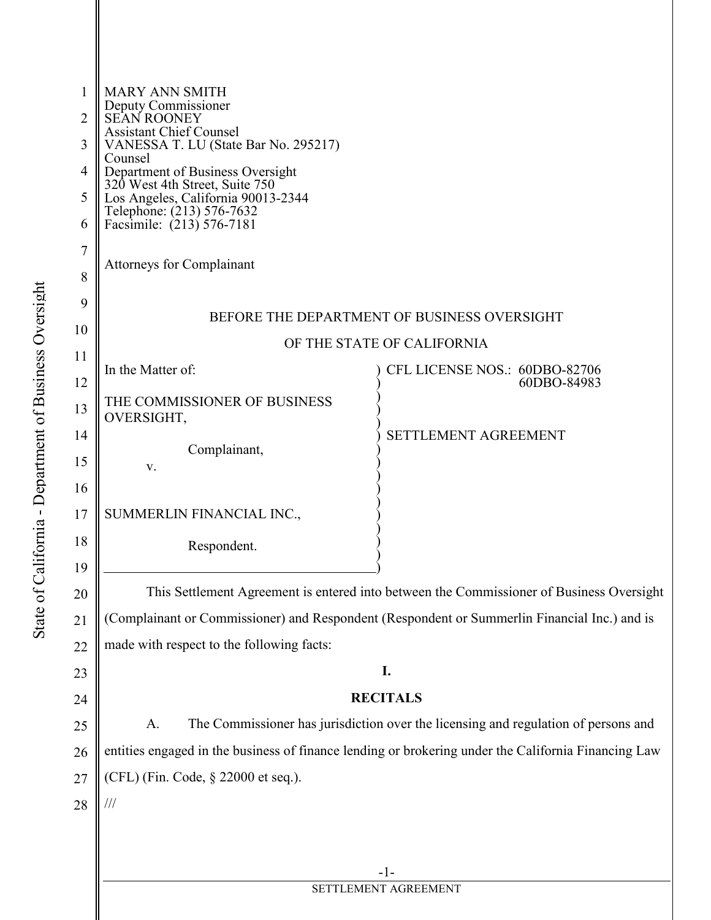| 1<br>2<br>3<br>4<br>5<br>6<br>7<br>8 | <b>MARY ANN SMITH</b><br>Deputy Commissioner<br>SEAN ROONEY<br><b>Assistant Chief Counsel</b><br>VANESSA T. LU (State Bar No. 295217)<br>Counsel<br>Department of Business Oversight<br>320 West 4th Street, Suite 750<br>Los Angeles, California 90013-2344<br>Telephone: (213) 576-7632<br>Facsimile: (213) 576-7181<br><b>Attorneys for Complainant</b> |                                            |  |
|--------------------------------------|------------------------------------------------------------------------------------------------------------------------------------------------------------------------------------------------------------------------------------------------------------------------------------------------------------------------------------------------------------|--------------------------------------------|--|
| 9                                    | BEFORE THE DEPARTMENT OF BUSINESS OVERSIGHT                                                                                                                                                                                                                                                                                                                |                                            |  |
| 10                                   | OF THE STATE OF CALIFORNIA                                                                                                                                                                                                                                                                                                                                 |                                            |  |
| 11                                   | In the Matter of:                                                                                                                                                                                                                                                                                                                                          | CFL LICENSE NOS.: 60DBO-82706              |  |
| 12<br>13<br>14<br>15                 | THE COMMISSIONER OF BUSINESS<br>OVERSIGHT,<br>Complainant,<br>V.                                                                                                                                                                                                                                                                                           | 60DBO-84983<br><b>SETTLEMENT AGREEMENT</b> |  |
| 16<br>17<br>18<br>19                 | SUMMERLIN FINANCIAL INC.,<br>Respondent.                                                                                                                                                                                                                                                                                                                   |                                            |  |
| 20                                   | This Settlement Agreement is entered into between the Commissioner of Business Oversight                                                                                                                                                                                                                                                                   |                                            |  |
| 21                                   | (Complainant or Commissioner) and Respondent (Respondent or Summerlin Financial Inc.) and is                                                                                                                                                                                                                                                               |                                            |  |
| 22                                   | made with respect to the following facts:                                                                                                                                                                                                                                                                                                                  |                                            |  |
| 23                                   | I.                                                                                                                                                                                                                                                                                                                                                         |                                            |  |
| 24                                   | <b>RECITALS</b>                                                                                                                                                                                                                                                                                                                                            |                                            |  |
| 25                                   | The Commissioner has jurisdiction over the licensing and regulation of persons and<br>A.                                                                                                                                                                                                                                                                   |                                            |  |
| 26                                   | entities engaged in the business of finance lending or brokering under the California Financing Law                                                                                                                                                                                                                                                        |                                            |  |
| 27                                   | (CFL) (Fin. Code, § 22000 et seq.).                                                                                                                                                                                                                                                                                                                        |                                            |  |
| 28                                   | $/\!/ \!/$                                                                                                                                                                                                                                                                                                                                                 |                                            |  |
|                                      |                                                                                                                                                                                                                                                                                                                                                            |                                            |  |
|                                      |                                                                                                                                                                                                                                                                                                                                                            |                                            |  |
|                                      | $-1-$<br>SETTLEMENT AGREEMENT                                                                                                                                                                                                                                                                                                                              |                                            |  |
|                                      |                                                                                                                                                                                                                                                                                                                                                            |                                            |  |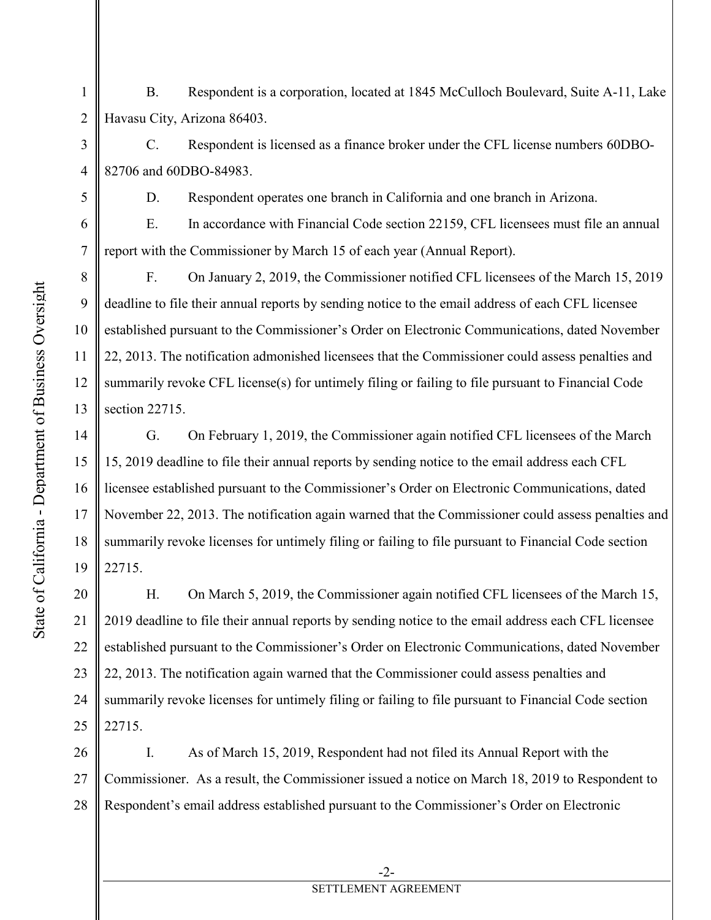3

4

5

6

7

8

9

11

12

13

15

17

18

19

1 2 B. Respondent is a corporation, located at 1845 McCulloch Boulevard, Suite A-11, Lake Havasu City, Arizona 86403.

C. Respondent is licensed as a finance broker under the CFL license numbers 60DBO-82706 and 60DBO-84983.

D. Respondent operates one branch in California and one branch in Arizona.

E. In accordance with Financial Code section 22159, CFL licensees must file an annual report with the Commissioner by March 15 of each year (Annual Report).

10 F. On January 2, 2019, the Commissioner notified CFL licensees of the March 15, 2019 deadline to file their annual reports by sending notice to the email address of each CFL licensee established pursuant to the Commissioner's Order on Electronic Communications, dated November 22, 2013. The notification admonished licensees that the Commissioner could assess penalties and summarily revoke CFL license(s) for untimely filing or failing to file pursuant to Financial Code section 22715.

14 16 G. On February 1, 2019, the Commissioner again notified CFL licensees of the March 15, 2019 deadline to file their annual reports by sending notice to the email address each CFL licensee established pursuant to the Commissioner's Order on Electronic Communications, dated November 22, 2013. The notification again warned that the Commissioner could assess penalties and summarily revoke licenses for untimely filing or failing to file pursuant to Financial Code section 22715.

20 21 22 23 24 25 H. On March 5, 2019, the Commissioner again notified CFL licensees of the March 15, 2019 deadline to file their annual reports by sending notice to the email address each CFL licensee established pursuant to the Commissioner's Order on Electronic Communications, dated November 22, 2013. The notification again warned that the Commissioner could assess penalties and summarily revoke licenses for untimely filing or failing to file pursuant to Financial Code section 22715.

26 27 28 I. As of March 15, 2019, Respondent had not filed its Annual Report with the Commissioner. As a result, the Commissioner issued a notice on March 18, 2019 to Respondent to Respondent's email address established pursuant to the Commissioner's Order on Electronic

## SETTLEMENT AGREEMENT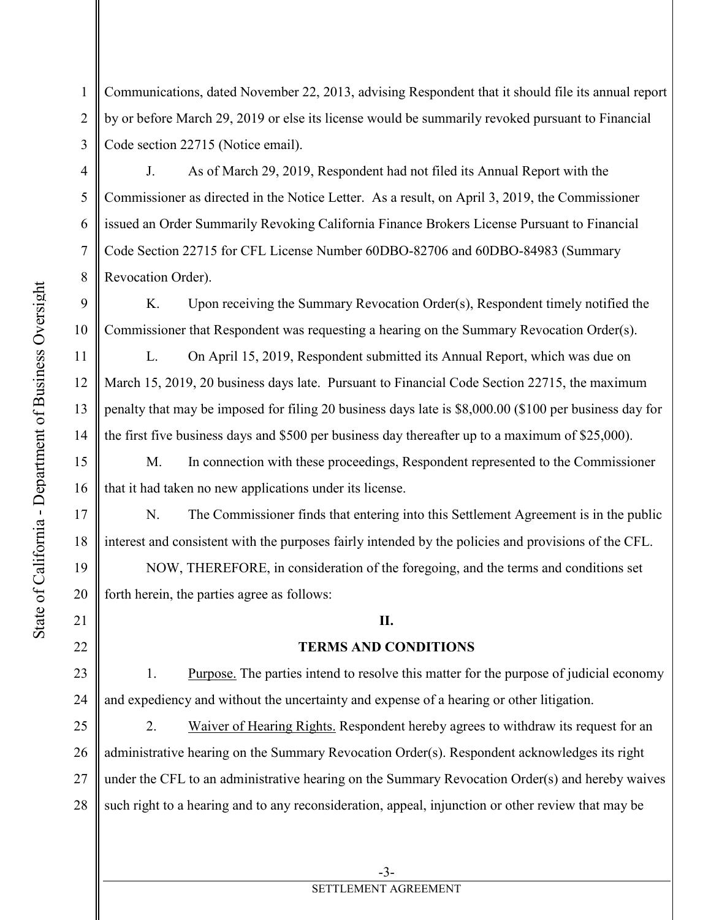1 2 3 Communications, dated November 22, 2013, advising Respondent that it should file its annual report by or before March 29, 2019 or else its license would be summarily revoked pursuant to Financial Code section 22715 (Notice email).

 J. As of March 29, 2019, Respondent had not filed its Annual Report with the Commissioner as directed in the Notice Letter. As a result, on April 3, 2019, the Commissioner issued an Order Summarily Revoking California Finance Brokers License Pursuant to Financial Code Section 22715 for CFL License Number 60DBO-82706 and 60DBO-84983 (Summary Revocation Order).

9 10 K. Upon receiving the Summary Revocation Order(s), Respondent timely notified the Commissioner that Respondent was requesting a hearing on the Summary Revocation Order(s).

 L. On April 15, 2019, Respondent submitted its Annual Report, which was due on March 15, 2019, 20 business days late. Pursuant to Financial Code Section 22715, the maximum penalty that may be imposed for filing 20 business days late is \$8,000.00 (\$100 per business day for the first five business days and \$500 per business day thereafter up to a maximum of \$25,000).

 M. In connection with these proceedings, Respondent represented to the Commissioner that it had taken no new applications under its license.

 N. The Commissioner finds that entering into this Settlement Agreement is in the public interest and consistent with the purposes fairly intended by the policies and provisions of the CFL.

 NOW, THEREFORE, in consideration of the foregoing, and the terms and conditions set forth herein, the parties agree as follows:

## **II.**

## **TERMS AND CONDITIONS**

 1. Purpose. The parties intend to resolve this matter for the purpose of judicial economy and expediency and without the uncertainty and expense of a hearing or other litigation.

25 26 27 28 2. Waiver of Hearing Rights. Respondent hereby agrees to withdraw its request for an administrative hearing on the Summary Revocation Order(s). Respondent acknowledges its right under the CFL to an administrative hearing on the Summary Revocation Order(s) and hereby waives such right to a hearing and to any reconsideration, appeal, injunction or other review that may be

4

5

6

7

8

11

12

13

14

15

16

17

18

19

20

21

22

23

24

## SETTLEMENT AGREEMENT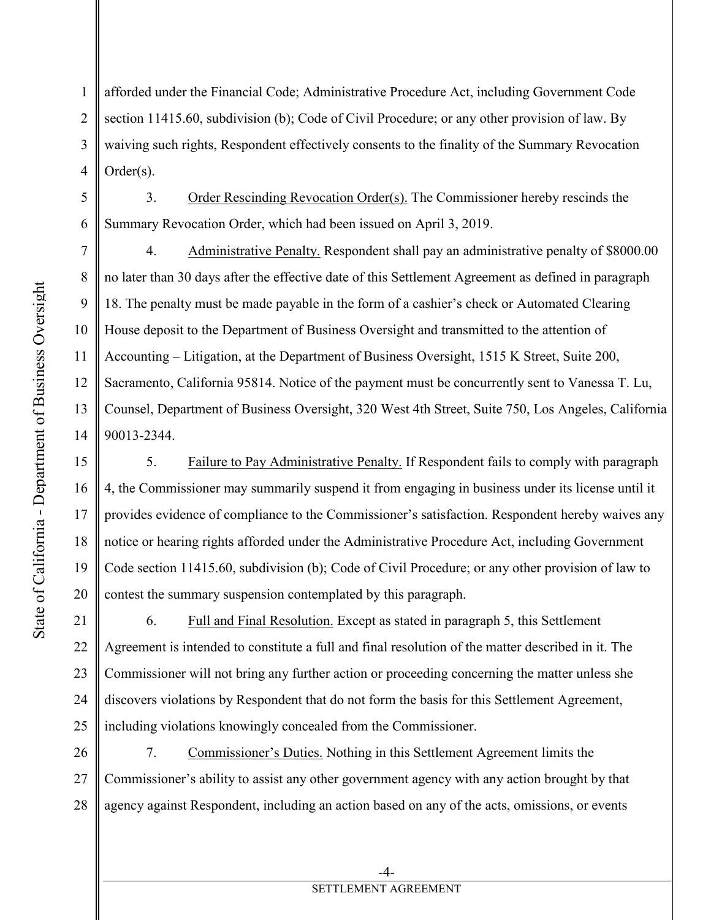1

2

3

4

5

6

8

9

11

15

16

17

18

19

20

afforded under the Financial Code; Administrative Procedure Act, including Government Code section 11415.60, subdivision (b); Code of Civil Procedure; or any other provision of law. By waiving such rights, Respondent effectively consents to the finality of the Summary Revocation Order(s).

 3. Order Rescinding Revocation Order(s). The Commissioner hereby rescinds the Summary Revocation Order, which had been issued on April 3, 2019.

7 10 12 13 14 4. Administrative Penalty. Respondent shall pay an administrative penalty of \$8000.00 no later than 30 days after the effective date of this Settlement Agreement as defined in paragraph 18. The penalty must be made payable in the form of a cashier's check or Automated Clearing House deposit to the Department of Business Oversight and transmitted to the attention of Accounting – Litigation, at the Department of Business Oversight, 1515 K Street, Suite 200, Sacramento, California 95814. Notice of the payment must be concurrently sent to Vanessa T. Lu, Counsel, Department of Business Oversight, 320 West 4th Street, Suite 750, Los Angeles, California 90013-2344.

 5. Failure to Pay Administrative Penalty. If Respondent fails to comply with paragraph 4, the Commissioner may summarily suspend it from engaging in business under its license until it provides evidence of compliance to the Commissioner's satisfaction. Respondent hereby waives any notice or hearing rights afforded under the Administrative Procedure Act, including Government Code section 11415.60, subdivision (b); Code of Civil Procedure; or any other provision of law to contest the summary suspension contemplated by this paragraph.

21 22 23 24 25 6. Full and Final Resolution. Except as stated in paragraph 5, this Settlement Agreement is intended to constitute a full and final resolution of the matter described in it. The Commissioner will not bring any further action or proceeding concerning the matter unless she discovers violations by Respondent that do not form the basis for this Settlement Agreement, including violations knowingly concealed from the Commissioner.

26 27 28 7. Commissioner's Duties. Nothing in this Settlement Agreement limits the Commissioner's ability to assist any other government agency with any action brought by that agency against Respondent, including an action based on any of the acts, omissions, or events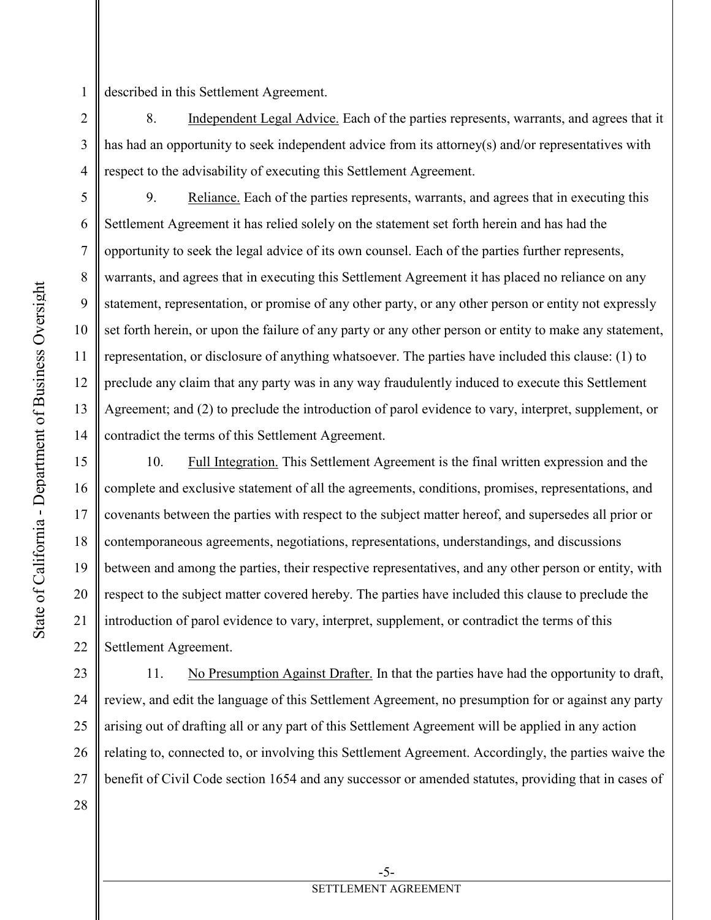described in this Settlement Agreement.

 8. Independent Legal Advice. Each of the parties represents, warrants, and agrees that it has had an opportunity to seek independent advice from its attorney(s) and/or representatives with respect to the advisability of executing this Settlement Agreement.

 9. Reliance. Each of the parties represents, warrants, and agrees that in executing this Settlement Agreement it has relied solely on the statement set forth herein and has had the opportunity to seek the legal advice of its own counsel. Each of the parties further represents, warrants, and agrees that in executing this Settlement Agreement it has placed no reliance on any statement, representation, or promise of any other party, or any other person or entity not expressly set forth herein, or upon the failure of any party or any other person or entity to make any statement, representation, or disclosure of anything whatsoever. The parties have included this clause: (1) to preclude any claim that any party was in any way fraudulently induced to execute this Settlement Agreement; and (2) to preclude the introduction of parol evidence to vary, interpret, supplement, or contradict the terms of this Settlement Agreement.

15 16 17 18 19 20 21 22 10. Full Integration. This Settlement Agreement is the final written expression and the complete and exclusive statement of all the agreements, conditions, promises, representations, and covenants between the parties with respect to the subject matter hereof, and supersedes all prior or contemporaneous agreements, negotiations, representations, understandings, and discussions between and among the parties, their respective representatives, and any other person or entity, with respect to the subject matter covered hereby. The parties have included this clause to preclude the introduction of parol evidence to vary, interpret, supplement, or contradict the terms of this Settlement Agreement.

23 24 25 26 27 28 11. No Presumption Against Drafter. In that the parties have had the opportunity to draft, review, and edit the language of this Settlement Agreement, no presumption for or against any party arising out of drafting all or any part of this Settlement Agreement will be applied in any action relating to, connected to, or involving this Settlement Agreement. Accordingly, the parties waive the benefit of Civil Code section 1654 and any successor or amended statutes, providing that in cases of

1

2

3

4

5

6

7

8

9

10

11

12

13

14

-5- SETTLEMENT AGREEMENT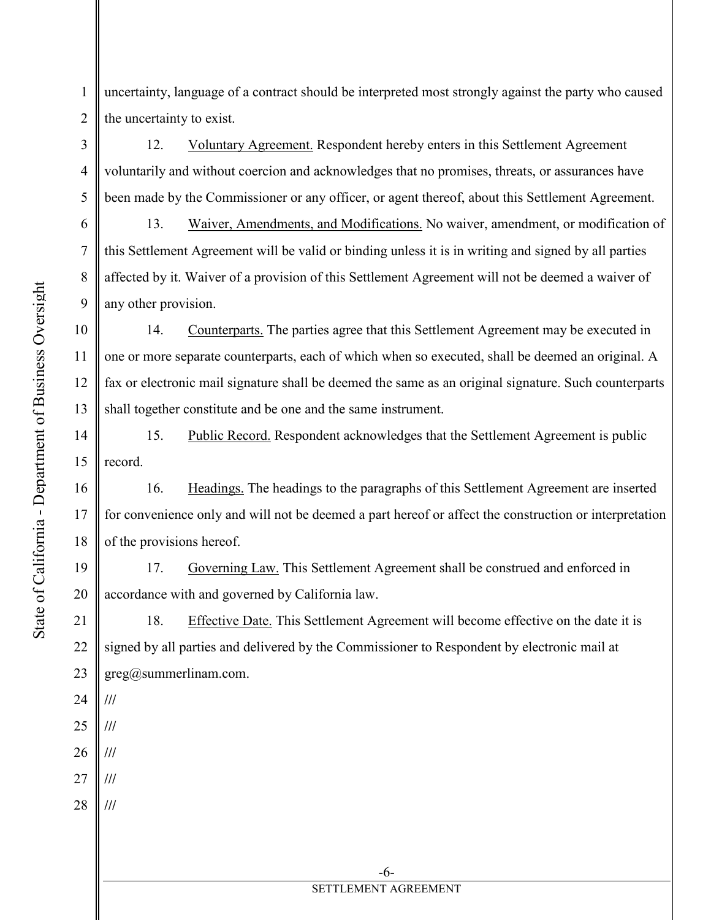State of California - Department of Business Oversight State of California - Department of Business Oversight 3

4

5

6

7

8

9

10

11

12

13

14

15

16

17

18

24

**///**

**///**

**///**

**///**

**///**

25

26

27

28

1 2 uncertainty, language of a contract should be interpreted most strongly against the party who caused the uncertainty to exist.

 12. Voluntary Agreement. Respondent hereby enters in this Settlement Agreement voluntarily and without coercion and acknowledges that no promises, threats, or assurances have been made by the Commissioner or any officer, or agent thereof, about this Settlement Agreement.

 13. Waiver, Amendments, and Modifications. No waiver, amendment, or modification of this Settlement Agreement will be valid or binding unless it is in writing and signed by all parties affected by it. Waiver of a provision of this Settlement Agreement will not be deemed a waiver of any other provision.

 14. Counterparts. The parties agree that this Settlement Agreement may be executed in one or more separate counterparts, each of which when so executed, shall be deemed an original. A fax or electronic mail signature shall be deemed the same as an original signature. Such counterparts shall together constitute and be one and the same instrument.

 15. Public Record. Respondent acknowledges that the Settlement Agreement is public record.

 16. Headings. The headings to the paragraphs of this Settlement Agreement are inserted for convenience only and will not be deemed a part hereof or affect the construction or interpretation of the provisions hereof.

19 20 17. Governing Law. This Settlement Agreement shall be construed and enforced in accordance with and governed by California law.

21 22 23 18. Effective Date. This Settlement Agreement will become effective on the date it is signed by all parties and delivered by the Commissioner to Respondent by electronic mail at greg@summerlinam.com.

-6-